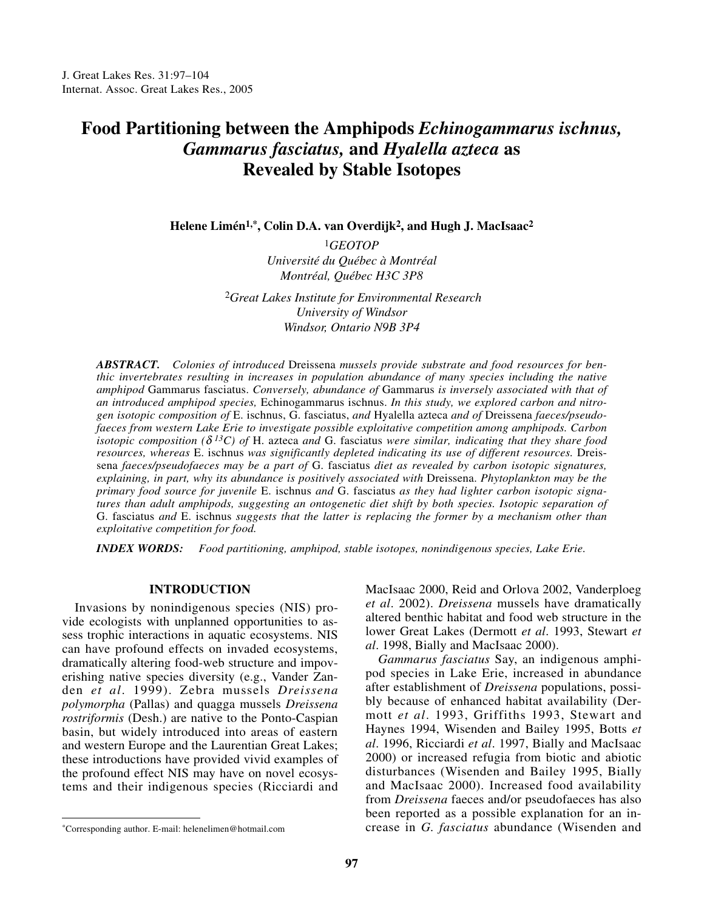# **Food Partitioning between the Amphipods** *Echinogammarus ischnus, Gammarus fasciatus,* **and** *Hyalella azteca* **as Revealed by Stable Isotopes**

**Helene Limén1,\*, Colin D.A. van Overdijk2, and Hugh J. MacIsaac2**

1*GEOTOP Université du Québec à Montréal Montréal, Québec H3C 3P8*

2*Great Lakes Institute for Environmental Research University of Windsor Windsor, Ontario N9B 3P4*

*ABSTRACT. Colonies of introduced* Dreissena *mussels provide substrate and food resources for benthic invertebrates resulting in increases in population abundance of many species including the native amphipod* Gammarus fasciatus. *Conversely, abundance of* Gammarus *is inversely associated with that of an introduced amphipod species,* Echinogammarus ischnus. *In this study, we explored carbon and nitrogen isotopic composition of* E. ischnus, G. fasciatus, *and* Hyalella azteca *and of* Dreissena *faeces/pseudofaeces from western Lake Erie to investigate possible exploitative competition among amphipods. Carbon isotopic composition (* $\delta^{13}C$ *) of H. azteca and G. fasciatus were similar, indicating that they share food resources, whereas* E. ischnus *was significantly depleted indicating its use of different resources.* Dreissena *faeces/pseudofaeces may be a part of* G. fasciatus *diet as revealed by carbon isotopic signatures, explaining, in part, why its abundance is positively associated with* Dreissena. *Phytoplankton may be the primary food source for juvenile* E. ischnus *and* G. fasciatus *as they had lighter carbon isotopic signatures than adult amphipods, suggesting an ontogenetic diet shift by both species. Isotopic separation of* G. fasciatus *and* E. ischnus *suggests that the latter is replacing the former by a mechanism other than exploitative competition for food.* 

*INDEX WORDS: Food partitioning, amphipod, stable isotopes, nonindigenous species, Lake Erie.*

# **INTRODUCTION**

Invasions by nonindigenous species (NIS) provide ecologists with unplanned opportunities to assess trophic interactions in aquatic ecosystems. NIS can have profound effects on invaded ecosystems, dramatically altering food-web structure and impoverishing native species diversity (e.g., Vander Zanden *et al*. 1999). Zebra mussels *Dreissena polymorpha* (Pallas) and quagga mussels *Dreissena rostriformis* (Desh.) are native to the Ponto-Caspian basin, but widely introduced into areas of eastern and western Europe and the Laurentian Great Lakes; these introductions have provided vivid examples of the profound effect NIS may have on novel ecosystems and their indigenous species (Ricciardi and

MacIsaac 2000, Reid and Orlova 2002, Vanderploeg *et al*. 2002). *Dreissena* mussels have dramatically altered benthic habitat and food web structure in the lower Great Lakes (Dermott *et al*. 1993, Stewart *et al*. 1998, Bially and MacIsaac 2000).

*Gammarus fasciatus* Say, an indigenous amphipod species in Lake Erie, increased in abundance after establishment of *Dreissena* populations, possibly because of enhanced habitat availability (Dermott *et al*. 1993, Griffiths 1993, Stewart and Haynes 1994, Wisenden and Bailey 1995, Botts *et al*. 1996, Ricciardi *et al*. 1997, Bially and MacIsaac 2000) or increased refugia from biotic and abiotic disturbances (Wisenden and Bailey 1995, Bially and MacIsaac 2000). Increased food availability from *Dreissena* faeces and/or pseudofaeces has also been reported as a possible explanation for an increase in *G. fasciatus* abundance (Wisenden and

<sup>\*</sup>Corresponding author. E-mail: helenelimen@hotmail.com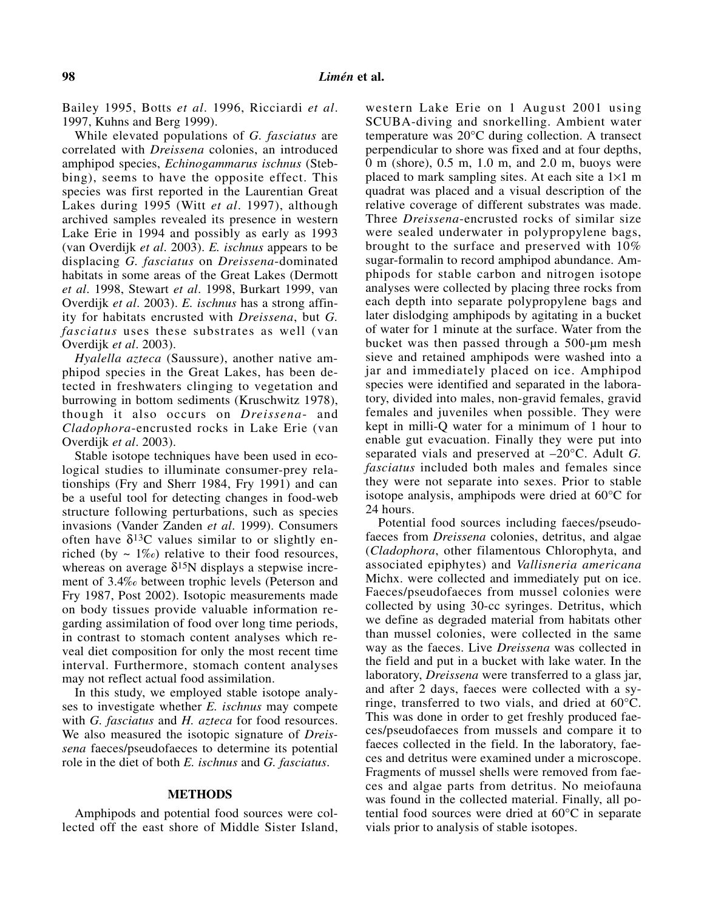Bailey 1995, Botts *et al*. 1996, Ricciardi *et al*. 1997, Kuhns and Berg 1999).

While elevated populations of *G. fasciatus* are correlated with *Dreissena* colonies, an introduced amphipod species, *Echinogammarus ischnus* (Stebbing), seems to have the opposite effect. This species was first reported in the Laurentian Great Lakes during 1995 (Witt *et al*. 1997), although archived samples revealed its presence in western Lake Erie in 1994 and possibly as early as 1993 (van Overdijk *et al*. 2003). *E. ischnus* appears to be displacing *G. fasciatus* on *Dreissena*-dominated habitats in some areas of the Great Lakes (Dermott *et al*. 1998, Stewart *et al*. 1998, Burkart 1999, van Overdijk *et al*. 2003). *E. ischnus* has a strong affinity for habitats encrusted with *Dreissena*, but *G. fasciatus* uses these substrates as well (van Overdijk *et al*. 2003).

*Hyalella azteca* (Saussure), another native amphipod species in the Great Lakes, has been detected in freshwaters clinging to vegetation and burrowing in bottom sediments (Kruschwitz 1978), though it also occurs on *Dreissena*- and *Cladophora*-encrusted rocks in Lake Erie (van Overdijk *et al*. 2003).

Stable isotope techniques have been used in ecological studies to illuminate consumer-prey relationships (Fry and Sherr 1984, Fry 1991) and can be a useful tool for detecting changes in food-web structure following perturbations, such as species invasions (Vander Zanden *et al*. 1999). Consumers often have  $\delta^{13}$ C values similar to or slightly enriched (by  $\sim 1\%$ ) relative to their food resources, whereas on average  $\delta^{15}N$  displays a stepwise increment of 3.4‰ between trophic levels (Peterson and Fry 1987, Post 2002). Isotopic measurements made on body tissues provide valuable information regarding assimilation of food over long time periods, in contrast to stomach content analyses which reveal diet composition for only the most recent time interval. Furthermore, stomach content analyses may not reflect actual food assimilation.

In this study, we employed stable isotope analyses to investigate whether *E. ischnus* may compete with *G. fasciatus* and *H. azteca* for food resources. We also measured the isotopic signature of *Dreissena* faeces/pseudofaeces to determine its potential role in the diet of both *E. ischnus* and *G. fasciatus*.

## **METHODS**

Amphipods and potential food sources were collected off the east shore of Middle Sister Island,

western Lake Erie on 1 August 2001 using SCUBA-diving and snorkelling. Ambient water temperature was 20°C during collection. A transect perpendicular to shore was fixed and at four depths, 0 m (shore), 0.5 m, 1.0 m, and 2.0 m, buoys were placed to mark sampling sites. At each site a 1×1 m quadrat was placed and a visual description of the relative coverage of different substrates was made. Three *Dreissena*-encrusted rocks of similar size were sealed underwater in polypropylene bags, brought to the surface and preserved with 10% sugar-formalin to record amphipod abundance. Amphipods for stable carbon and nitrogen isotope analyses were collected by placing three rocks from each depth into separate polypropylene bags and later dislodging amphipods by agitating in a bucket of water for 1 minute at the surface. Water from the bucket was then passed through a 500-µm mesh sieve and retained amphipods were washed into a jar and immediately placed on ice. Amphipod species were identified and separated in the laboratory, divided into males, non-gravid females, gravid females and juveniles when possible. They were kept in milli-Q water for a minimum of 1 hour to enable gut evacuation. Finally they were put into separated vials and preserved at –20°C. Adult *G. fasciatus* included both males and females since they were not separate into sexes. Prior to stable isotope analysis, amphipods were dried at 60°C for 24 hours.

Potential food sources including faeces/pseudofaeces from *Dreissena* colonies, detritus, and algae (*Cladophora*, other filamentous Chlorophyta, and associated epiphytes) and *Vallisneria americana* Michx. were collected and immediately put on ice. Faeces/pseudofaeces from mussel colonies were collected by using 30-cc syringes. Detritus, which we define as degraded material from habitats other than mussel colonies, were collected in the same way as the faeces. Live *Dreissena* was collected in the field and put in a bucket with lake water. In the laboratory, *Dreissena* were transferred to a glass jar, and after 2 days, faeces were collected with a syringe, transferred to two vials, and dried at 60°C. This was done in order to get freshly produced faeces/pseudofaeces from mussels and compare it to faeces collected in the field. In the laboratory, faeces and detritus were examined under a microscope. Fragments of mussel shells were removed from faeces and algae parts from detritus. No meiofauna was found in the collected material. Finally, all potential food sources were dried at 60°C in separate vials prior to analysis of stable isotopes.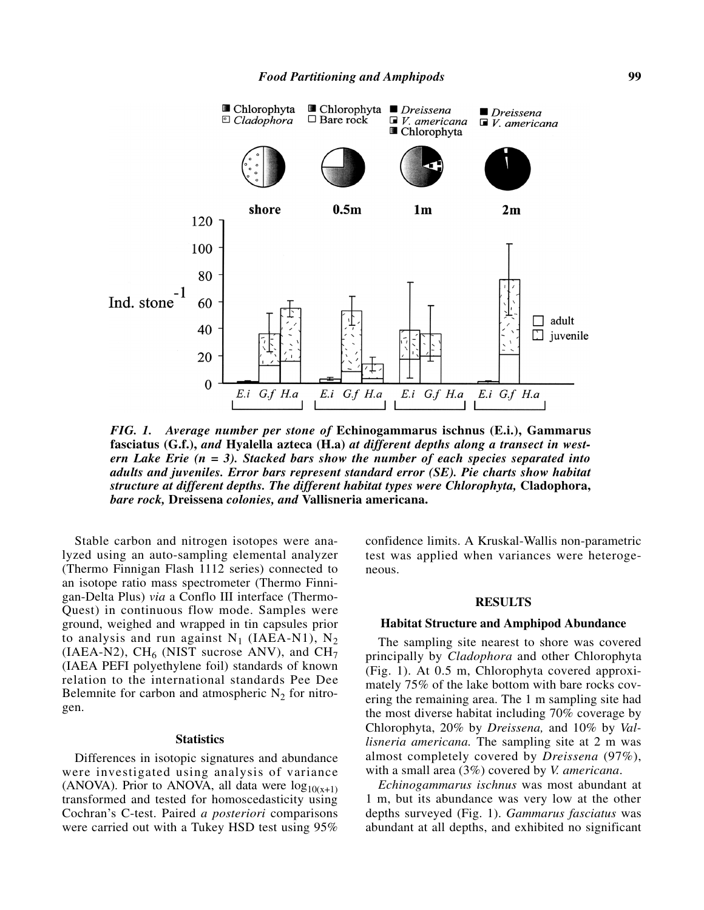# *Food Partitioning and Amphipods* **99**



*FIG. 1. Average number per stone of* **Echinogammarus ischnus (E.i.), Gammarus fasciatus (G.f.),** *and* **Hyalella azteca (H.a)** *at different depths along a transect in western Lake Erie (n = 3). Stacked bars show the number of each species separated into adults and juveniles. Error bars represent standard error (SE). Pie charts show habitat structure at different depths. The different habitat types were Chlorophyta,* **Cladophora,** *bare rock,* **Dreissena** *colonies, and* **Vallisneria americana.**

Stable carbon and nitrogen isotopes were analyzed using an auto-sampling elemental analyzer (Thermo Finnigan Flash 1112 series) connected to an isotope ratio mass spectrometer (Thermo Finnigan-Delta Plus) *via* a Conflo III interface (Thermo-Quest) in continuous flow mode. Samples were ground, weighed and wrapped in tin capsules prior to analysis and run against  $N_1$  (IAEA-N1),  $N_2$ (IAEA-N2),  $CH_6$  (NIST sucrose ANV), and  $CH_7$ (IAEA PEFI polyethylene foil) standards of known relation to the international standards Pee Dee Belemnite for carbon and atmospheric  $N_2$  for nitrogen.

## **Statistics**

Differences in isotopic signatures and abundance were investigated using analysis of variance (ANOVA). Prior to ANOVA, all data were  $log_{10(x+1)}$ transformed and tested for homoscedasticity using Cochran's C-test. Paired *a posteriori* comparisons were carried out with a Tukey HSD test using 95%

confidence limits. A Kruskal-Wallis non-parametric test was applied when variances were heterogeneous.

#### **RESULTS**

#### **Habitat Structure and Amphipod Abundance**

The sampling site nearest to shore was covered principally by *Cladophora* and other Chlorophyta (Fig. 1). At 0.5 m, Chlorophyta covered approximately 75% of the lake bottom with bare rocks covering the remaining area. The 1 m sampling site had the most diverse habitat including 70% coverage by Chlorophyta, 20% by *Dreissena,* and 10% by *Vallisneria americana.* The sampling site at 2 m was almost completely covered by *Dreissena* (97%), with a small area (3%) covered by *V. americana*.

*Echinogammarus ischnus* was most abundant at 1 m, but its abundance was very low at the other depths surveyed (Fig. 1). *Gammarus fasciatus* was abundant at all depths, and exhibited no significant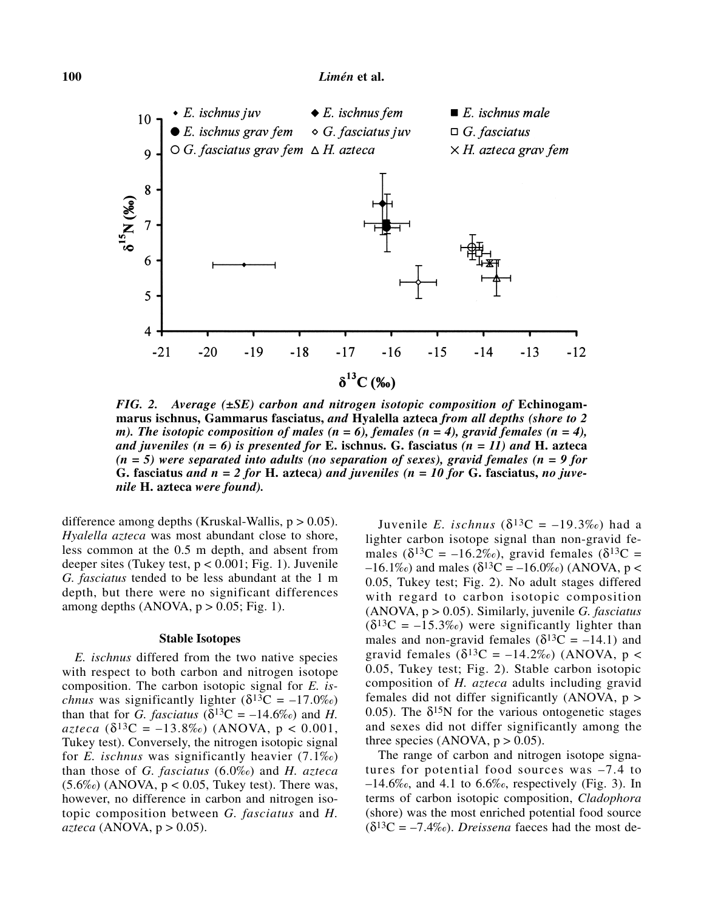# **100** *Limén* et al.



*FIG. 2. Average* ( $\pm$ *SE)* carbon and nitrogen isotopic composition of Echinogam**marus ischnus, Gammarus fasciatus,** *and* **Hyalella azteca** *from all depths (shore to 2 m*). The isotopic composition of males  $(n = 6)$ , females  $(n = 4)$ , gravid females  $(n = 4)$ , *and juveniles (n = 6) is presented for* **E. ischnus. G. fasciatus** *(n = 11) and* **H. azteca** *(n = 5) were separated into adults (no separation of sexes), gravid females (n = 9 for* **G.** fasciatus *and*  $n = 2$  *for* **H.** azteca*) and juveniles* ( $n = 10$  *for* G. fasciatus, *no juvenile* **H. azteca** *were found).* 

difference among depths (Kruskal-Wallis,  $p > 0.05$ ). *Hyalella azteca* was most abundant close to shore, less common at the 0.5 m depth, and absent from deeper sites (Tukey test,  $p < 0.001$ ; Fig. 1). Juvenile *G. fasciatus* tended to be less abundant at the 1 m depth, but there were no significant differences among depths (ANOVA,  $p > 0.05$ ; Fig. 1).

## **Stable Isotopes**

*E. ischnus* differed from the two native species with respect to both carbon and nitrogen isotope composition. The carbon isotopic signal for *E. ischnus* was significantly lighter ( $\delta^{13}C = -17.0\%$ ) than that for *G. fasciatus* ( $\delta^{13}C = -14.6\%$ ) and *H. azteca* ( $\delta^{13}C = -13.8\%$ ) (ANOVA,  $p < 0.001$ , Tukey test). Conversely, the nitrogen isotopic signal for *E. ischnus* was significantly heavier (7.1‰) than those of *G. fasciatus* (6.0‰) and *H. azteca*  $(5.6\%)$  (ANOVA,  $p < 0.05$ , Tukey test). There was, however, no difference in carbon and nitrogen isotopic composition between *G. fasciatus* and *H.*  $azteca$  (ANOVA,  $p > 0.05$ ).

Juvenile *E. ischnus* ( $\delta^{13}C = -19.3\%$ ) had a lighter carbon isotope signal than non-gravid females ( $\delta^{13}C = -16.2\%$ ), gravid females ( $\delta^{13}C =$  $-16.1\%$ ) and males ( $\delta^{13}C = -16.0\%$ ) (ANOVA, p < 0.05, Tukey test; Fig. 2). No adult stages differed with regard to carbon isotopic composition (ANOVA, p > 0.05). Similarly, juvenile *G. fasciatus*  $(\delta^{13}C = -15.3\%)$  were significantly lighter than males and non-gravid females ( $\delta^{13}C = -14.1$ ) and gravid females ( $\delta^{13}C = -14.2\%$ ) (ANOVA, p < 0.05, Tukey test; Fig. 2). Stable carbon isotopic composition of *H. azteca* adults including gravid females did not differ significantly (ANOVA, p > 0.05). The  $\delta^{15}N$  for the various ontogenetic stages and sexes did not differ significantly among the three species (ANOVA,  $p > 0.05$ ).

The range of carbon and nitrogen isotope signatures for potential food sources was –7.4 to  $-14.6\%$ <sub>o</sub>, and 4.1 to 6.6‰, respectively (Fig. 3). In terms of carbon isotopic composition, *Cladophora* (shore) was the most enriched potential food source  $(\delta^{13}C = -7.4\%)$ . *Dreissena* faeces had the most de-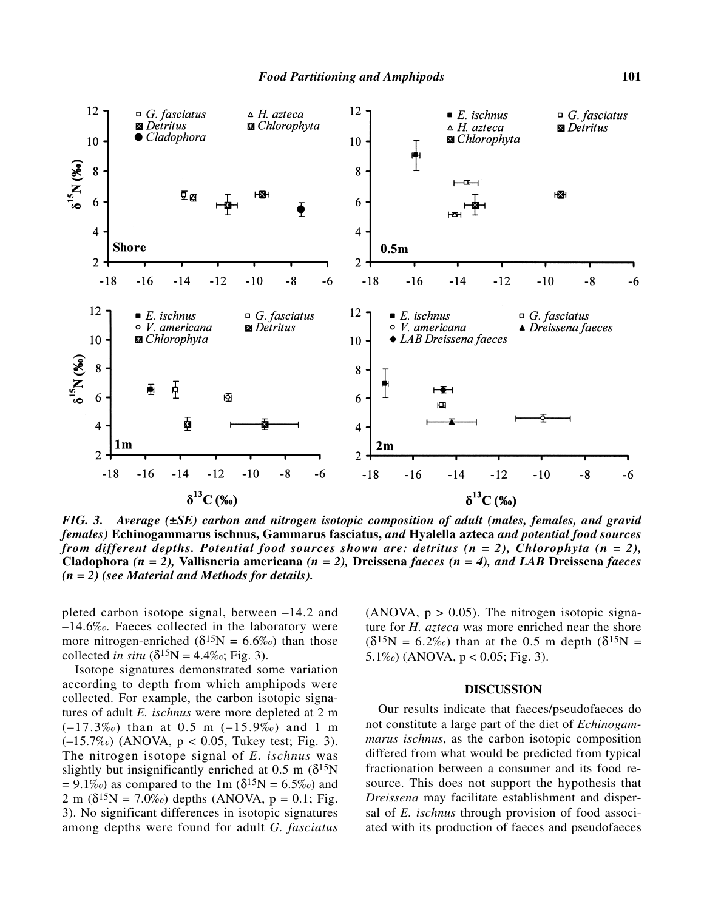

*FIG. 3. Average (±SE) carbon and nitrogen isotopic composition of adult (males, females, and gravid females)* **Echinogammarus ischnus, Gammarus fasciatus,** *and* **Hyalella azteca** *and potential food sources from different depths. Potential food sources shown are: detritus (n = 2), Chlorophyta (n = 2),* **Cladophora** *(n = 2),* **Vallisneria americana** *(n = 2),* **Dreissena** *faeces (n = 4), and LAB* **Dreissena** *faeces (n = 2) (see Material and Methods for details).* 

pleted carbon isotope signal, between –14.2 and –14.6‰. Faeces collected in the laboratory were more nitrogen-enriched ( $\delta^{15}N = 6.6\%$ ) than those collected *in situ* ( $\delta^{15}N = 4.4\%$ <sub>*c*</sub>; Fig. 3).

Isotope signatures demonstrated some variation according to depth from which amphipods were collected. For example, the carbon isotopic signatures of adult *E. ischnus* were more depleted at 2 m  $(-17.3\%)$  than at 0.5 m  $(-15.9\%)$  and 1 m (–15.7‰) (ANOVA, p < 0.05, Tukey test; Fig. 3). The nitrogen isotope signal of *E. ischnus* was slightly but insignificantly enriched at 0.5 m  $(\delta^{15}N)$  $= 9.1\%$ ) as compared to the 1m ( $\delta^{15}N = 6.5\%$ ) and 2 m ( $\delta^{15}N = 7.0\%$ ) depths (ANOVA, p = 0.1; Fig. 3). No significant differences in isotopic signatures among depths were found for adult *G. fasciatus* (ANOVA,  $p > 0.05$ ). The nitrogen isotopic signature for *H. azteca* was more enriched near the shore  $(\delta^{15}N = 6.2\%)$  than at the 0.5 m depth  $(\delta^{15}N =$ 5.1‰) (ANOVA, p < 0.05; Fig. 3).

### **DISCUSSION**

Our results indicate that faeces/pseudofaeces do not constitute a large part of the diet of *Echinogammarus ischnus*, as the carbon isotopic composition differed from what would be predicted from typical fractionation between a consumer and its food resource. This does not support the hypothesis that *Dreissena* may facilitate establishment and dispersal of *E. ischnus* through provision of food associated with its production of faeces and pseudofaeces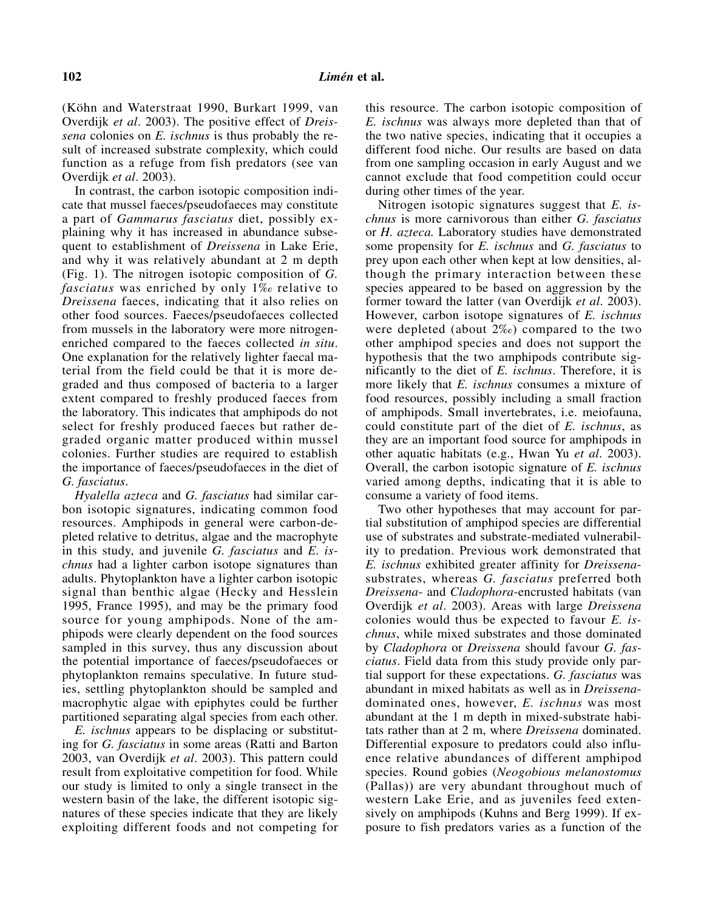(Köhn and Waterstraat 1990, Burkart 1999, van Overdijk *et al*. 2003). The positive effect of *Dreissena* colonies on *E. ischnus* is thus probably the result of increased substrate complexity, which could function as a refuge from fish predators (see van Overdijk *et al*. 2003).

In contrast, the carbon isotopic composition indicate that mussel faeces/pseudofaeces may constitute a part of *Gammarus fasciatus* diet, possibly explaining why it has increased in abundance subsequent to establishment of *Dreissena* in Lake Erie, and why it was relatively abundant at 2 m depth (Fig. 1). The nitrogen isotopic composition of *G. fasciatus* was enriched by only 1‰ relative to *Dreissena* faeces, indicating that it also relies on other food sources. Faeces/pseudofaeces collected from mussels in the laboratory were more nitrogenenriched compared to the faeces collected *in situ*. One explanation for the relatively lighter faecal material from the field could be that it is more degraded and thus composed of bacteria to a larger extent compared to freshly produced faeces from the laboratory. This indicates that amphipods do not select for freshly produced faeces but rather degraded organic matter produced within mussel colonies. Further studies are required to establish the importance of faeces/pseudofaeces in the diet of *G. fasciatus*.

*Hyalella azteca* and *G. fasciatus* had similar carbon isotopic signatures, indicating common food resources. Amphipods in general were carbon-depleted relative to detritus, algae and the macrophyte in this study, and juvenile *G. fasciatus* and *E. ischnus* had a lighter carbon isotope signatures than adults. Phytoplankton have a lighter carbon isotopic signal than benthic algae (Hecky and Hesslein 1995, France 1995), and may be the primary food source for young amphipods. None of the amphipods were clearly dependent on the food sources sampled in this survey, thus any discussion about the potential importance of faeces/pseudofaeces or phytoplankton remains speculative. In future studies, settling phytoplankton should be sampled and macrophytic algae with epiphytes could be further partitioned separating algal species from each other.

*E. ischnus* appears to be displacing or substituting for *G. fasciatus* in some areas (Ratti and Barton 2003, van Overdijk *et al*. 2003). This pattern could result from exploitative competition for food. While our study is limited to only a single transect in the western basin of the lake, the different isotopic signatures of these species indicate that they are likely exploiting different foods and not competing for

this resource. The carbon isotopic composition of *E. ischnus* was always more depleted than that of the two native species, indicating that it occupies a different food niche. Our results are based on data from one sampling occasion in early August and we cannot exclude that food competition could occur during other times of the year.

Nitrogen isotopic signatures suggest that *E. ischnus* is more carnivorous than either *G. fasciatus* or *H. azteca.* Laboratory studies have demonstrated some propensity for *E. ischnus* and *G. fasciatus* to prey upon each other when kept at low densities, although the primary interaction between these species appeared to be based on aggression by the former toward the latter (van Overdijk *et al*. 2003). However, carbon isotope signatures of *E. ischnus* were depleted (about 2‰) compared to the two other amphipod species and does not support the hypothesis that the two amphipods contribute significantly to the diet of *E. ischnus*. Therefore, it is more likely that *E. ischnus* consumes a mixture of food resources, possibly including a small fraction of amphipods. Small invertebrates, i.e. meiofauna, could constitute part of the diet of *E. ischnus*, as they are an important food source for amphipods in other aquatic habitats (e.g., Hwan Yu *et al*. 2003). Overall, the carbon isotopic signature of *E. ischnus* varied among depths, indicating that it is able to consume a variety of food items.

Two other hypotheses that may account for partial substitution of amphipod species are differential use of substrates and substrate-mediated vulnerability to predation. Previous work demonstrated that *E. ischnus* exhibited greater affinity for *Dreissena*substrates, whereas *G. fasciatus* preferred both *Dreissena*- and *Cladophora*-encrusted habitats (van Overdijk *et al*. 2003). Areas with large *Dreissena* colonies would thus be expected to favour *E. ischnus*, while mixed substrates and those dominated by *Cladophora* or *Dreissena* should favour *G. fasciatus*. Field data from this study provide only partial support for these expectations. *G. fasciatus* was abundant in mixed habitats as well as in *Dreissena*dominated ones, however, *E. ischnus* was most abundant at the 1 m depth in mixed-substrate habitats rather than at 2 m, where *Dreissena* dominated. Differential exposure to predators could also influence relative abundances of different amphipod species. Round gobies (*Neogobious melanostomus* (Pallas)) are very abundant throughout much of western Lake Erie, and as juveniles feed extensively on amphipods (Kuhns and Berg 1999). If exposure to fish predators varies as a function of the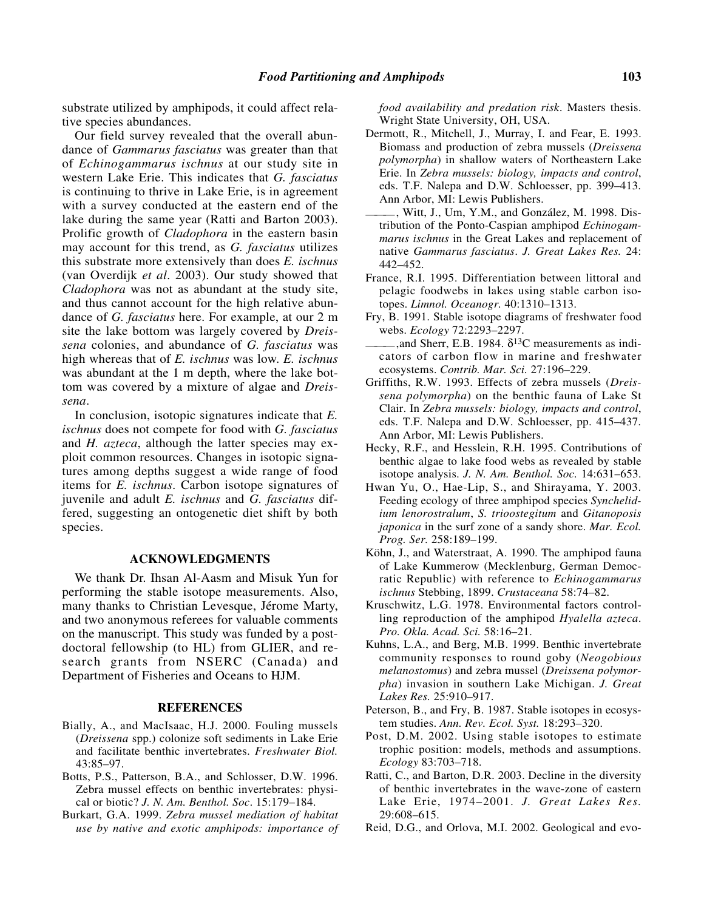substrate utilized by amphipods, it could affect relative species abundances.

Our field survey revealed that the overall abundance of *Gammarus fasciatus* was greater than that of *Echinogammarus ischnus* at our study site in western Lake Erie. This indicates that *G. fasciatus* is continuing to thrive in Lake Erie, is in agreement with a survey conducted at the eastern end of the lake during the same year (Ratti and Barton 2003). Prolific growth of *Cladophora* in the eastern basin may account for this trend, as *G. fasciatus* utilizes this substrate more extensively than does *E. ischnus* (van Overdijk *et al*. 2003). Our study showed that *Cladophora* was not as abundant at the study site, and thus cannot account for the high relative abundance of *G. fasciatus* here. For example, at our 2 m site the lake bottom was largely covered by *Dreissena* colonies, and abundance of *G. fasciatus* was high whereas that of *E. ischnus* was low. *E. ischnus* was abundant at the 1 m depth, where the lake bottom was covered by a mixture of algae and *Dreissena*.

In conclusion, isotopic signatures indicate that *E. ischnus* does not compete for food with *G. fasciatus* and *H. azteca*, although the latter species may exploit common resources. Changes in isotopic signatures among depths suggest a wide range of food items for *E. ischnus*. Carbon isotope signatures of juvenile and adult *E. ischnus* and *G. fasciatus* differed, suggesting an ontogenetic diet shift by both species.

# **ACKNOWLEDGMENTS**

We thank Dr. Ihsan Al-Aasm and Misuk Yun for performing the stable isotope measurements. Also, many thanks to Christian Levesque, Jérome Marty, and two anonymous referees for valuable comments on the manuscript. This study was funded by a postdoctoral fellowship (to HL) from GLIER, and research grants from NSERC (Canada) and Department of Fisheries and Oceans to HJM.

# **REFERENCES**

- Bially, A., and MacIsaac, H.J. 2000. Fouling mussels (*Dreissena* spp.) colonize soft sediments in Lake Erie and facilitate benthic invertebrates. *Freshwater Biol.* 43:85–97.
- Botts, P.S., Patterson, B.A., and Schlosser, D.W. 1996. Zebra mussel effects on benthic invertebrates: physical or biotic? *J. N. Am. Benthol. Soc*. 15:179–184.
- Burkart, G.A. 1999. *Zebra mussel mediation of habitat use by native and exotic amphipods: importance of*

*food availability and predation risk*. Masters thesis. Wright State University, OH, USA.

- Dermott, R., Mitchell, J., Murray, I. and Fear, E. 1993. Biomass and production of zebra mussels (*Dreissena polymorpha*) in shallow waters of Northeastern Lake Erie. In *Zebra mussels: biology, impacts and control*, eds. T.F. Nalepa and D.W. Schloesser, pp. 399–413. Ann Arbor, MI: Lewis Publishers.
- ———, Witt, J., Um, Y.M., and González, M. 1998. Distribution of the Ponto-Caspian amphipod *Echinogammarus ischnus* in the Great Lakes and replacement of native *Gammarus fasciatus*. *J. Great Lakes Res.* 24: 442–452.
- France, R.I. 1995. Differentiation between littoral and pelagic foodwebs in lakes using stable carbon isotopes. *Limnol. Oceanogr.* 40:1310–1313.
- Fry, B. 1991. Stable isotope diagrams of freshwater food webs. *Ecology* 72:2293–2297.
- , and Sherr, E.B. 1984.  $\delta^{13}$ C measurements as indicators of carbon flow in marine and freshwater ecosystems. *Contrib. Mar. Sci.* 27:196–229.
- Griffiths, R.W. 1993. Effects of zebra mussels (*Dreissena polymorpha*) on the benthic fauna of Lake St Clair. In *Zebra mussels: biology, impacts and control*, eds. T.F. Nalepa and D.W. Schloesser, pp. 415–437. Ann Arbor, MI: Lewis Publishers.
- Hecky, R.F., and Hesslein, R.H. 1995. Contributions of benthic algae to lake food webs as revealed by stable isotope analysis. *J. N. Am. Benthol. Soc.* 14:631–653.
- Hwan Yu, O., Hae-Lip, S., and Shirayama, Y. 2003. Feeding ecology of three amphipod species *Synchelidium lenorostralum*, *S. trioostegitum* and *Gitanoposis japonica* in the surf zone of a sandy shore. *Mar. Ecol. Prog. Ser.* 258:189–199.
- Köhn, J., and Waterstraat, A. 1990. The amphipod fauna of Lake Kummerow (Mecklenburg, German Democratic Republic) with reference to *Echinogammarus ischnus* Stebbing, 1899. *Crustaceana* 58:74–82.
- Kruschwitz, L.G. 1978. Environmental factors controlling reproduction of the amphipod *Hyalella azteca*. *Pro. Okla. Acad. Sci.* 58:16–21.
- Kuhns, L.A., and Berg, M.B. 1999. Benthic invertebrate community responses to round goby (*Neogobious melanostomus*) and zebra mussel (*Dreissena polymorpha*) invasion in southern Lake Michigan. *J. Great Lakes Res.* 25:910–917.
- Peterson, B., and Fry, B. 1987. Stable isotopes in ecosystem studies. *Ann. Rev. Ecol. Syst.* 18:293–320.
- Post, D.M. 2002. Using stable isotopes to estimate trophic position: models, methods and assumptions. *Ecology* 83:703–718.
- Ratti, C., and Barton, D.R. 2003. Decline in the diversity of benthic invertebrates in the wave-zone of eastern Lake Erie, 1974–2001. *J. Great Lakes Res.* 29:608–615.
- Reid, D.G., and Orlova, M.I. 2002. Geological and evo-